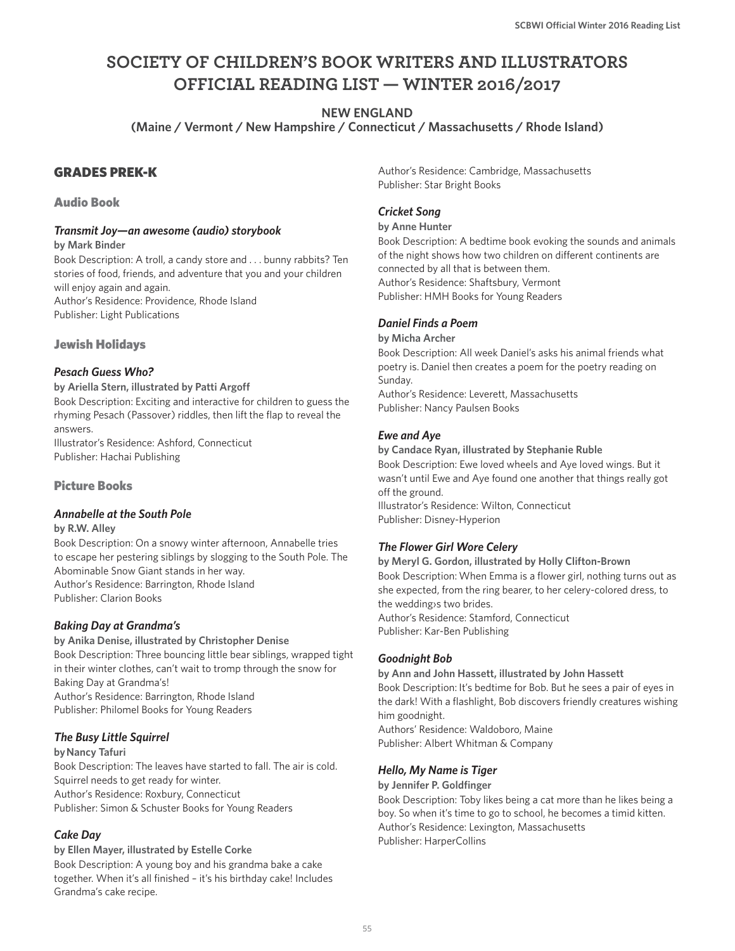# **SOCIETY OF CHILDREN'S BOOK WRITERS AND ILLUSTRATORS OFFICIAL READING LIST — WINTER 2016/2017**

**NEW ENGLAND** 

**(Maine / Vermont / New Hampshire / Connecticut / Massachusetts / Rhode Island)**

## GRADES PREK-K

#### Audio Book

#### *Transmit Joy—an awesome (audio) storybook*

**by Mark Binder**

Book Description: A troll, a candy store and . . . bunny rabbits? Ten stories of food, friends, and adventure that you and your children will enjoy again and again. Author's Residence: Providence, Rhode Island

Publisher: Light Publications

### Jewish Holidays

#### *Pesach Guess Who?*

**by Ariella Stern, illustrated by Patti Argoff** Book Description: Exciting and interactive for children to guess the rhyming Pesach (Passover) riddles, then lift the flap to reveal the answers. Illustrator's Residence: Ashford, Connecticut Publisher: Hachai Publishing

### Picture Books

#### *Annabelle at the South Pole*

**by R.W. Alley** 

Book Description: On a snowy winter afternoon, Annabelle tries to escape her pestering siblings by slogging to the South Pole. The Abominable Snow Giant stands in her way. Author's Residence: Barrington, Rhode Island Publisher: Clarion Books

### *Baking Day at Grandma's*

**by Anika Denise, illustrated by Christopher Denise** Book Description: Three bouncing little bear siblings, wrapped tight in their winter clothes, can't wait to tromp through the snow for Baking Day at Grandma's! Author's Residence: Barrington, Rhode Island Publisher: Philomel Books for Young Readers

### *The Busy Little Squirrel*

#### **by Nancy Tafuri**

Book Description: The leaves have started to fall. The air is cold. Squirrel needs to get ready for winter. Author's Residence: Roxbury, Connecticut Publisher: Simon & Schuster Books for Young Readers

### *Cake Day*

#### **by Ellen Mayer, illustrated by Estelle Corke**

Book Description: A young boy and his grandma bake a cake together. When it's all finished – it's his birthday cake! Includes Grandma's cake recipe.

Author's Residence: Cambridge, Massachusetts Publisher: Star Bright Books

## *Cricket Song*

#### **by Anne Hunter**

Book Description: A bedtime book evoking the sounds and animals of the night shows how two children on different continents are connected by all that is between them. Author's Residence: Shaftsbury, Vermont Publisher: HMH Books for Young Readers

#### *Daniel Finds a Poem*

**by Micha Archer** Book Description: All week Daniel's asks his animal friends what poetry is. Daniel then creates a poem for the poetry reading on Sunday.

Author's Residence: Leverett, Massachusetts Publisher: Nancy Paulsen Books

### *Ewe and Aye*

**by Candace Ryan, illustrated by Stephanie Ruble**  Book Description: Ewe loved wheels and Aye loved wings. But it wasn't until Ewe and Aye found one another that things really got off the ground. Illustrator's Residence: Wilton, Connecticut Publisher: Disney-Hyperion

### *The Flower Girl Wore Celery*

**by Meryl G. Gordon, illustrated by Holly Clifton-Brown** Book Description: When Emma is a flower girl, nothing turns out as she expected, from the ring bearer, to her celery-colored dress, to the wedding›s two brides. Author's Residence: Stamford, Connecticut Publisher: Kar-Ben Publishing

#### *Goodnight Bob*

**by Ann and John Hassett, illustrated by John Hassett** Book Description: It's bedtime for Bob. But he sees a pair of eyes in the dark! With a flashlight, Bob discovers friendly creatures wishing him goodnight. Authors' Residence: Waldoboro, Maine

Publisher: Albert Whitman & Company

### *Hello, My Name is Tiger*

#### **by Jennifer P. Goldfinger**

Book Description: Toby likes being a cat more than he likes being a boy. So when it's time to go to school, he becomes a timid kitten. Author's Residence: Lexington, Massachusetts Publisher: HarperCollins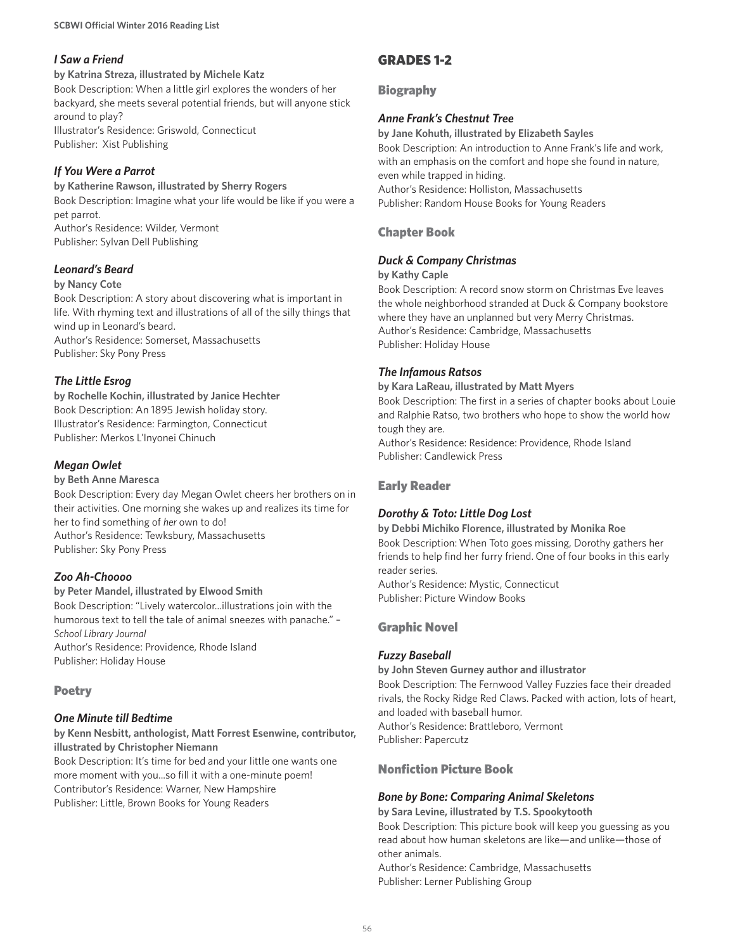## *I Saw a Friend*

**by Katrina Streza, illustrated by Michele Katz** Book Description: When a little girl explores the wonders of her backyard, she meets several potential friends, but will anyone stick around to play? Illustrator's Residence: Griswold, Connecticut Publisher: Xist Publishing

## *If You Were a Parrot*

**by Katherine Rawson, illustrated by Sherry Rogers** Book Description: Imagine what your life would be like if you were a pet parrot.

Author's Residence: Wilder, Vermont Publisher: Sylvan Dell Publishing

## *Leonard's Beard*

#### **by Nancy Cote**

Book Description: A story about discovering what is important in life. With rhyming text and illustrations of all of the silly things that wind up in Leonard's beard.

Author's Residence: Somerset, Massachusetts Publisher: Sky Pony Press

### *The Little Esrog*

**by Rochelle Kochin, illustrated by Janice Hechter** Book Description: An 1895 Jewish holiday story. Illustrator's Residence: Farmington, Connecticut Publisher: Merkos L'Inyonei Chinuch

## *Megan Owlet*

#### **by Beth Anne Maresca**

Book Description: Every day Megan Owlet cheers her brothers on in their activities. One morning she wakes up and realizes its time for her to find something of *her* own to do! Author's Residence: Tewksbury, Massachusetts Publisher: Sky Pony Press

### *Zoo Ah-Choooo*

#### **by Peter Mandel, illustrated by Elwood Smith**

Book Description: "Lively watercolor...illustrations join with the humorous text to tell the tale of animal sneezes with panache." – *School Library Journal* Author's Residence: Providence, Rhode Island Publisher: Holiday House

### Poetry

### *One Minute till Bedtime*

**by Kenn Nesbitt, anthologist, Matt Forrest Esenwine, contributor, illustrated by Christopher Niemann**

Book Description: It's time for bed and your little one wants one more moment with you...so fill it with a one-minute poem! Contributor's Residence: Warner, New Hampshire Publisher: Little, Brown Books for Young Readers

## GRADES 1-2

### Biography

### *Anne Frank's Chestnut Tree*

**by Jane Kohuth, illustrated by Elizabeth Sayles** Book Description: An introduction to Anne Frank's life and work, with an emphasis on the comfort and hope she found in nature, even while trapped in hiding. Author's Residence: Holliston, Massachusetts Publisher: Random House Books for Young Readers

## Chapter Book

## *Duck & Company Christmas*

#### **by Kathy Caple**

Book Description: A record snow storm on Christmas Eve leaves the whole neighborhood stranded at Duck & Company bookstore where they have an unplanned but very Merry Christmas. Author's Residence: Cambridge, Massachusetts Publisher: Holiday House

### *The Infamous Ratsos*

#### **by Kara LaReau, illustrated by Matt Myers**

Book Description: The first in a series of chapter books about Louie and Ralphie Ratso, two brothers who hope to show the world how tough they are.

Author's Residence: Residence: Providence, Rhode Island Publisher: Candlewick Press

### Early Reader

### *Dorothy & Toto: Little Dog Lost*

**by Debbi Michiko Florence, illustrated by Monika Roe** Book Description: When Toto goes missing, Dorothy gathers her friends to help find her furry friend. One of four books in this early reader series.

Author's Residence: Mystic, Connecticut Publisher: Picture Window Books

## Graphic Novel

### *Fuzzy Baseball*

#### **by John Steven Gurney author and illustrator**

Book Description: The Fernwood Valley Fuzzies face their dreaded rivals, the Rocky Ridge Red Claws. Packed with action, lots of heart, and loaded with baseball humor. Author's Residence: Brattleboro, Vermont Publisher: Papercutz

### Nonfiction Picture Book

### *Bone by Bone: Comparing Animal Skeletons*

**by Sara Levine, illustrated by T.S. Spookytooth** Book Description: This picture book will keep you guessing as you read about how human skeletons are like—and unlike—those of other animals.

Author's Residence: Cambridge, Massachusetts Publisher: Lerner Publishing Group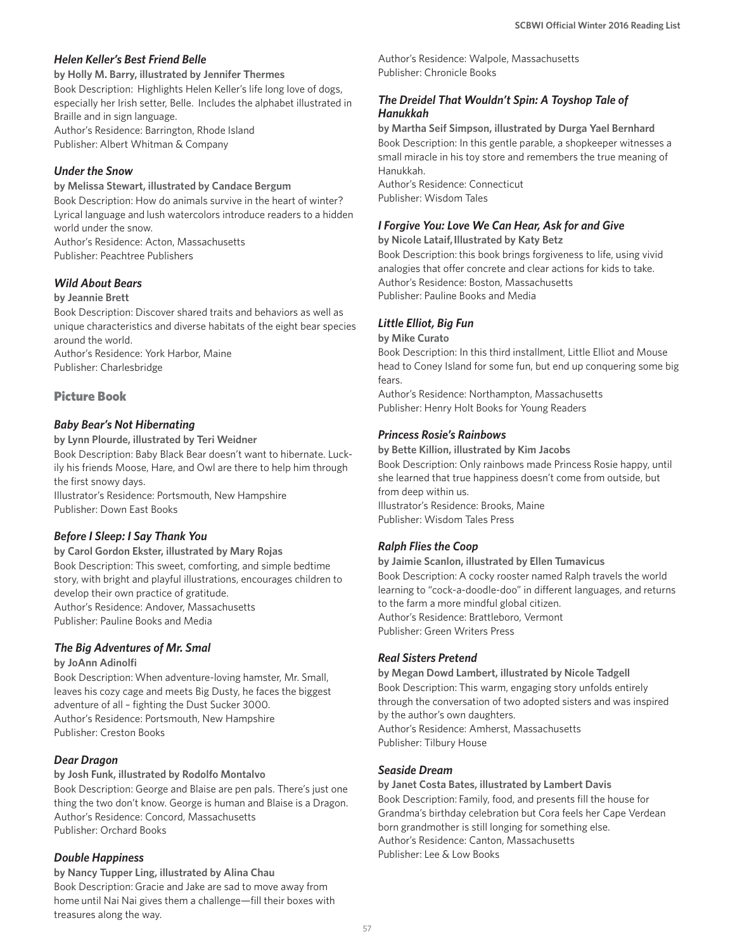#### *Helen Keller's Best Friend Belle*

**by Holly M. Barry, illustrated by Jennifer Thermes**

Book Description: Highlights Helen Keller's life long love of dogs, especially her Irish setter, Belle. Includes the alphabet illustrated in Braille and in sign language.

Author's Residence: Barrington, Rhode Island Publisher: Albert Whitman & Company

### *Under the Snow*

#### **by Melissa Stewart, illustrated by Candace Bergum**

Book Description: How do animals survive in the heart of winter? Lyrical language and lush watercolors introduce readers to a hidden world under the snow.

Author's Residence: Acton, Massachusetts Publisher: Peachtree Publishers

### *Wild About Bears*

#### **by Jeannie Brett**

Book Description: Discover shared traits and behaviors as well as unique characteristics and diverse habitats of the eight bear species around the world. Author's Residence: York Harbor, Maine

Publisher: Charlesbridge

### Picture Book

#### *Baby Bear's Not Hibernating*

**by Lynn Plourde, illustrated by Teri Weidner**

Book Description: Baby Black Bear doesn't want to hibernate. Luckily his friends Moose, Hare, and Owl are there to help him through the first snowy days.

Illustrator's Residence: Portsmouth, New Hampshire Publisher: Down East Books

### *Before I Sleep: I Say Thank You*

**by Carol Gordon Ekster, illustrated by Mary Rojas** Book Description: This sweet, comforting, and simple bedtime story, with bright and playful illustrations, encourages children to develop their own practice of gratitude. Author's Residence: Andover, Massachusetts Publisher: Pauline Books and Media

### *The Big Adventures of Mr. Smal*

#### **by JoAnn Adinolfi**

Book Description: When adventure-loving hamster, Mr. Small, leaves his cozy cage and meets Big Dusty, he faces the biggest adventure of all – fighting the Dust Sucker 3000. Author's Residence: Portsmouth, New Hampshire Publisher: Creston Books

### *Dear Dragon*

#### **by Josh Funk, illustrated by Rodolfo Montalvo**

Book Description: George and Blaise are pen pals. There's just one thing the two don't know. George is human and Blaise is a Dragon. Author's Residence: Concord, Massachusetts Publisher: Orchard Books

### *Double Happiness*

**by Nancy Tupper Ling, illustrated by Alina Chau** Book Description: Gracie and Jake are sad to move away from home until Nai Nai gives them a challenge—fill their boxes with treasures along the way.

Author's Residence: Walpole, Massachusetts Publisher: Chronicle Books

### *The Dreidel That Wouldn't Spin: A Toyshop Tale of Hanukkah*

**by Martha Seif Simpson, illustrated by Durga Yael Bernhard** Book Description: In this gentle parable, a shopkeeper witnesses a small miracle in his toy store and remembers the true meaning of Hanukkah.

Author's Residence: Connecticut Publisher: Wisdom Tales

## *I Forgive You: Love We Can Hear, Ask for and Give*

**by Nicole Lataif, Illustrated by Katy Betz**

Book Description: this book brings forgiveness to life, using vivid analogies that offer concrete and clear actions for kids to take. Author's Residence: Boston, Massachusetts Publisher: Pauline Books and Media

#### *Little Elliot, Big Fun*

#### **by Mike Curato**

Book Description: In this third installment, Little Elliot and Mouse head to Coney Island for some fun, but end up conquering some big fears.

Author's Residence: Northampton, Massachusetts Publisher: Henry Holt Books for Young Readers

#### *Princess Rosie's Rainbows*

**by Bette Killion, illustrated by Kim Jacobs**

Book Description: Only rainbows made Princess Rosie happy, until she learned that true happiness doesn't come from outside, but from deep within us.

Illustrator's Residence: Brooks, Maine Publisher: Wisdom Tales Press

### *Ralph Flies the Coop*

**by Jaimie Scanlon, illustrated by Ellen Tumavicus** Book Description: A cocky rooster named Ralph travels the world learning to "cock-a-doodle-doo" in different languages, and returns to the farm a more mindful global citizen. Author's Residence: Brattleboro, Vermont Publisher: Green Writers Press

#### *Real Sisters Pretend*

**by Megan Dowd Lambert, illustrated by Nicole Tadgell** Book Description: This warm, engaging story unfolds entirely through the conversation of two adopted sisters and was inspired by the author's own daughters. Author's Residence: Amherst, Massachusetts Publisher: Tilbury House

#### *Seaside Dream*

**by Janet Costa Bates, illustrated by Lambert Davis** Book Description: Family, food, and presents fill the house for Grandma's birthday celebration but Cora feels her Cape Verdean born grandmother is still longing for something else. Author's Residence: Canton, Massachusetts Publisher: Lee & Low Books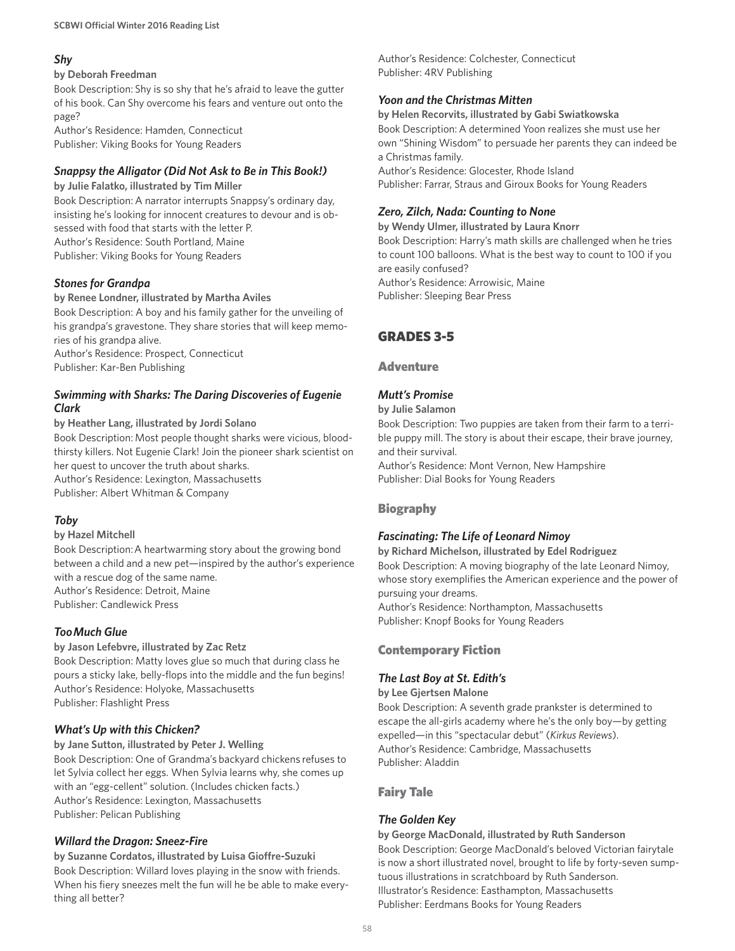## *Shy*

#### **by Deborah Freedman**

Book Description: Shy is so shy that he's afraid to leave the gutter of his book. Can Shy overcome his fears and venture out onto the page?

Author's Residence: Hamden, Connecticut Publisher: Viking Books for Young Readers

### *Snappsy the Alligator (Did Not Ask to Be in This Book!)*

**by Julie Falatko, illustrated by Tim Miller** Book Description: A narrator interrupts Snappsy's ordinary day, insisting he's looking for innocent creatures to devour and is obsessed with food that starts with the letter P. Author's Residence: South Portland, Maine Publisher: Viking Books for Young Readers

#### *Stones for Grandpa*

#### **by Renee Londner, illustrated by Martha Aviles**

Book Description: A boy and his family gather for the unveiling of his grandpa's gravestone. They share stories that will keep memories of his grandpa alive.

Author's Residence: Prospect, Connecticut Publisher: Kar-Ben Publishing

#### *Swimming with Sharks: The Daring Discoveries of Eugenie Clark*

**by Heather Lang, illustrated by Jordi Solano** Book Description: Most people thought sharks were vicious, bloodthirsty killers. Not Eugenie Clark! Join the pioneer shark scientist on her quest to uncover the truth about sharks. Author's Residence: Lexington, Massachusetts Publisher: Albert Whitman & Company

### *Toby*

#### **by Hazel Mitchell**

Book Description:A heartwarming story about the growing bond between a child and a new pet—inspired by the author's experience with a rescue dog of the same name. Author's Residence: Detroit, Maine Publisher: Candlewick Press

### *Too Much Glue*

#### **by Jason Lefebvre, illustrated by Zac Retz**

Book Description: Matty loves glue so much that during class he pours a sticky lake, belly-flops into the middle and the fun begins! Author's Residence: Holyoke, Massachusetts Publisher: Flashlight Press

### *What's Up with this Chicken?*

**by Jane Sutton, illustrated by Peter J. Welling** Book Description: One of Grandma's backyard chickens refuses to let Sylvia collect her eggs. When Sylvia learns why, she comes up with an "egg-cellent" solution. (Includes chicken facts.) Author's Residence: Lexington, Massachusetts Publisher: Pelican Publishing

### *Willard the Dragon: Sneez-Fire*

**by Suzanne Cordatos, illustrated by Luisa Gioffre-Suzuki** Book Description: Willard loves playing in the snow with friends. When his fiery sneezes melt the fun will he be able to make everything all better?

Author's Residence: Colchester, Connecticut Publisher: 4RV Publishing

### *Yoon and the Christmas Mitten*

**by Helen Recorvits, illustrated by Gabi Swiatkowska** Book Description: A determined Yoon realizes she must use her own "Shining Wisdom" to persuade her parents they can indeed be a Christmas family. Author's Residence: Glocester, Rhode Island

Publisher: Farrar, Straus and Giroux Books for Young Readers

## *Zero, Zilch, Nada: Counting to None*

**by Wendy Ulmer, illustrated by Laura Knorr**

Book Description: Harry's math skills are challenged when he tries to count 100 balloons. What is the best way to count to 100 if you are easily confused?

Author's Residence: Arrowisic, Maine Publisher: Sleeping Bear Press

## GRADES 3-5

#### **Adventure**

## *Mutt's Promise*

#### **by Julie Salamon**

Book Description: Two puppies are taken from their farm to a terrible puppy mill. The story is about their escape, their brave journey, and their survival.

Author's Residence: Mont Vernon, New Hampshire Publisher: Dial Books for Young Readers

### Biography

### *Fascinating: The Life of Leonard Nimoy*

**by Richard Michelson, illustrated by Edel Rodriguez** Book Description: A moving biography of the late Leonard Nimoy, whose story exemplifies the American experience and the power of pursuing your dreams. Author's Residence: Northampton, Massachusetts Publisher: Knopf Books for Young Readers

### Contemporary Fiction

#### *The Last Boy at St. Edith's*

**by Lee Gjertsen Malone**

Book Description: A seventh grade prankster is determined to escape the all-girls academy where he's the only boy—by getting expelled—in this "spectacular debut" (*Kirkus Reviews*). Author's Residence: Cambridge, Massachusetts Publisher: Aladdin

### Fairy Tale

## *The Golden Key*

#### **by George MacDonald, illustrated by Ruth Sanderson** Book Description: George MacDonald's beloved Victorian fairytale is now a short illustrated novel, brought to life by forty-seven sumptuous illustrations in scratchboard by Ruth Sanderson. Illustrator's Residence: Easthampton, Massachusetts Publisher: Eerdmans Books for Young Readers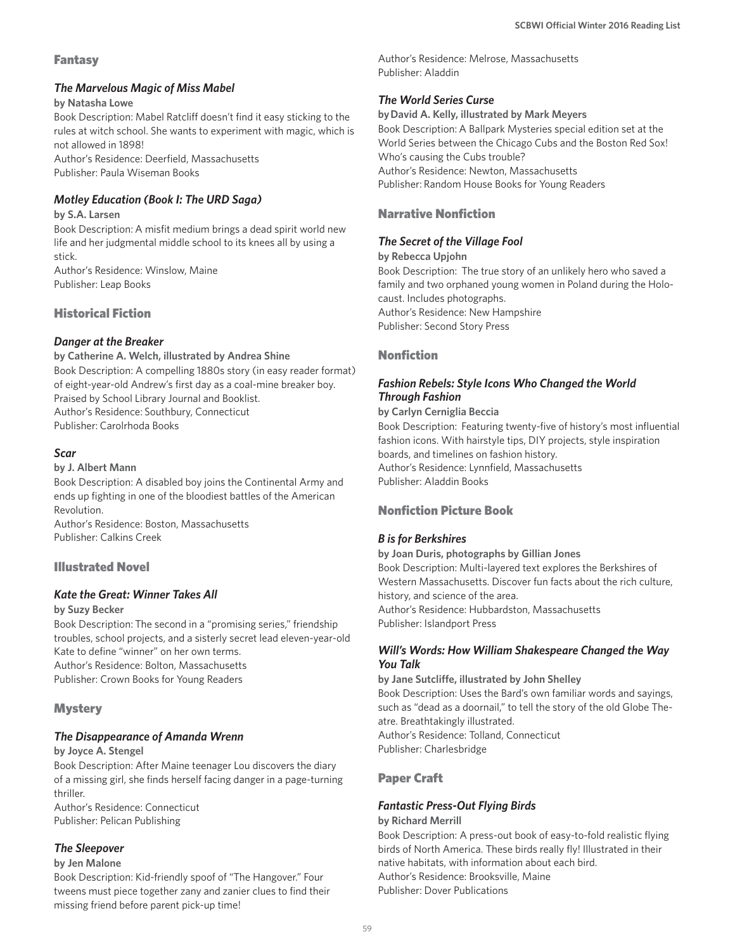#### Fantasy

#### *The Marvelous Magic of Miss Mabel*

#### **by Natasha Lowe**

Book Description: Mabel Ratcliff doesn't find it easy sticking to the rules at witch school. She wants to experiment with magic, which is not allowed in 1898!

Author's Residence: Deerfield, Massachusetts Publisher: Paula Wiseman Books

### *Motley Education (Book I: The URD Saga)*

#### **by S.A. Larsen**

Book Description: A misfit medium brings a dead spirit world new life and her judgmental middle school to its knees all by using a stick.

Author's Residence: Winslow, Maine Publisher: Leap Books

### Historical Fiction

#### *Danger at the Breaker*

**by Catherine A. Welch, illustrated by Andrea Shine** Book Description: A compelling 1880s story (in easy reader format) of eight-year-old Andrew's first day as a coal-mine breaker boy. Praised by School Library Journal and Booklist. Author's Residence: Southbury, Connecticut Publisher: Carolrhoda Books

#### *Scar*

#### **by J. Albert Mann**

Book Description: A disabled boy joins the Continental Army and ends up fighting in one of the bloodiest battles of the American Revolution.

Author's Residence: Boston, Massachusetts Publisher: Calkins Creek

### Illustrated Novel

#### *Kate the Great: Winner Takes All*

#### **by Suzy Becker**

Book Description: The second in a "promising series," friendship troubles, school projects, and a sisterly secret lead eleven-year-old Kate to define "winner" on her own terms. Author's Residence: Bolton, Massachusetts Publisher: Crown Books for Young Readers

#### **Mystery**

#### *The Disappearance of Amanda Wrenn*

**by Joyce A. Stengel**

Book Description: After Maine teenager Lou discovers the diary of a missing girl, she finds herself facing danger in a page-turning thriller.

Author's Residence: Connecticut Publisher: Pelican Publishing

#### *The Sleepover*

#### **by Jen Malone**

Book Description: Kid-friendly spoof of "The Hangover." Four tweens must piece together zany and zanier clues to find their missing friend before parent pick-up time!

Author's Residence: Melrose, Massachusetts Publisher: Aladdin

### *The World Series Curse*

**by David A. Kelly, illustrated by Mark Meyers** Book Description: A Ballpark Mysteries special edition set at the World Series between the Chicago Cubs and the Boston Red Sox! Who's causing the Cubs trouble? Author's Residence: Newton, Massachusetts Publisher: Random House Books for Young Readers

## Narrative Nonfiction

### *The Secret of the Village Fool*

**by Rebecca Upjohn** Book Description: The true story of an unlikely hero who saved a family and two orphaned young women in Poland during the Holocaust. Includes photographs. Author's Residence: New Hampshire Publisher: Second Story Press

### Nonfiction

## *Fashion Rebels: Style Icons Who Changed the World Through Fashion*

#### **by Carlyn Cerniglia Beccia**

Book Description: Featuring twenty-five of history's most influential fashion icons. With hairstyle tips, DIY projects, style inspiration boards, and timelines on fashion history. Author's Residence: Lynnfield, Massachusetts Publisher: Aladdin Books

### Nonfiction Picture Book

#### *B is for Berkshires*

**by Joan Duris, photographs by Gillian Jones** Book Description: Multi-layered text explores the Berkshires of Western Massachusetts. Discover fun facts about the rich culture, history, and science of the area. Author's Residence: Hubbardston, Massachusetts Publisher: Islandport Press

#### *Will's Words: How William Shakespeare Changed the Way You Talk*

**by Jane Sutcliffe, illustrated by John Shelley** Book Description: Uses the Bard's own familiar words and sayings, such as "dead as a doornail," to tell the story of the old Globe Theatre. Breathtakingly illustrated. Author's Residence: Tolland, Connecticut Publisher: Charlesbridge

### Paper Craft

#### *Fantastic Press-Out Flying Birds*

#### **by Richard Merrill**

Book Description: A press-out book of easy-to-fold realistic flying birds of North America. These birds really fly! Illustrated in their native habitats, with information about each bird. Author's Residence: Brooksville, Maine Publisher: Dover Publications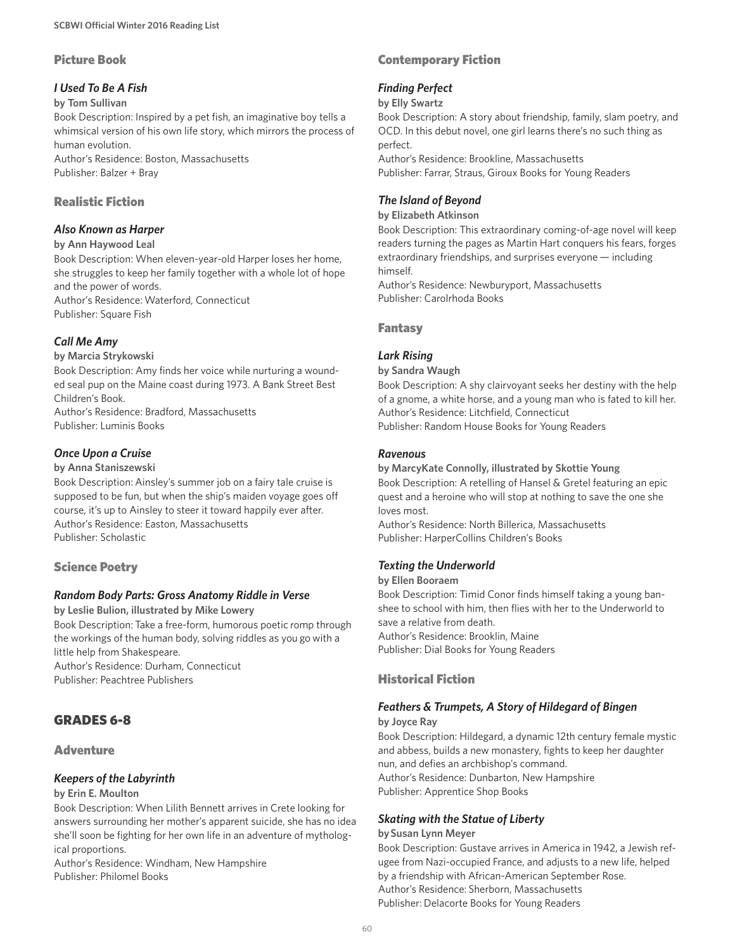## Picture Book

## *I Used To Be A Fish*

#### **by Tom Sullivan**

Book Description: Inspired by a pet fish, an imaginative boy tells a whimsical version of his own life story, which mirrors the process of human evolution.

Author's Residence: Boston, Massachusetts Publisher: Balzer + Bray

## Realistic Fiction

### *Also Known as Harper*

#### **by Ann Haywood Leal**

Book Description: When eleven-year-old Harper loses her home, she struggles to keep her family together with a whole lot of hope and the power of words. Author's Residence: Waterford, Connecticut

Publisher: Square Fish

## *Call Me Amy*

#### **by Marcia Strykowski**

Book Description: Amy finds her voice while nurturing a wounded seal pup on the Maine coast during 1973. A Bank Street Best Children's Book.

Author's Residence: Bradford, Massachusetts Publisher: Luminis Books

## *Once Upon a Cruise*

#### **by Anna Staniszewski**

Book Description: Ainsley's summer job on a fairy tale cruise is supposed to be fun, but when the ship's maiden voyage goes off course, it's up to Ainsley to steer it toward happily ever after. Author's Residence: Easton, Massachusetts Publisher: Scholastic

### Science Poetry

### *Random Body Parts: Gross Anatomy Riddle in Verse*

**by Leslie Bulion, illustrated by Mike Lowery**

Book Description: Take a free-form, humorous poetic romp through the workings of the human body, solving riddles as you go with a little help from Shakespeare.

Author's Residence: Durham, Connecticut Publisher: Peachtree Publishers

## GRADES 6-8

### **Adventure**

### *Keepers of the Labyrinth*

#### **by Erin E. Moulton**

Book Description: When Lilith Bennett arrives in Crete looking for answers surrounding her mother's apparent suicide, she has no idea she'll soon be fighting for her own life in an adventure of mythological proportions.

Author's Residence: Windham, New Hampshire Publisher: Philomel Books

## Contemporary Fiction

### *Finding Perfect*

#### **by Elly Swartz**

Book Description: A story about friendship, family, slam poetry, and OCD. In this debut novel, one girl learns there's no such thing as perfect.

Author's Residence: Brookline, Massachusetts Publisher: Farrar, Straus, Giroux Books for Young Readers

## *The Island of Beyond*

#### **by Elizabeth Atkinson**

Book Description: This extraordinary coming-of-age novel will keep readers turning the pages as Martin Hart conquers his fears, forges extraordinary friendships, and surprises everyone — including himself.

Author's Residence: Newburyport, Massachusetts Publisher: Carolrhoda Books

## Fantasy

### *Lark Rising*

#### **by Sandra Waugh**

Book Description: A shy clairvoyant seeks her destiny with the help of a gnome, a white horse, and a young man who is fated to kill her. Author's Residence: Litchfield, Connecticut Publisher: Random House Books for Young Readers

#### *Ravenous*

#### **by MarcyKate Connolly, illustrated by Skottie Young** Book Description: A retelling of Hansel & Gretel featuring an epic quest and a heroine who will stop at nothing to save the one she loves most.

Author's Residence: North Billerica, Massachusetts Publisher: HarperCollins Children's Books

## *Texting the Underworld*

#### **by Ellen Booraem**

Book Description: Timid Conor finds himself taking a young banshee to school with him, then flies with her to the Underworld to save a relative from death. Author's Residence: Brooklin, Maine Publisher: Dial Books for Young Readers

## Historical Fiction

### *Feathers & Trumpets, A Story of Hildegard of Bingen*

#### **by Joyce Ray**

Book Description: Hildegard, a dynamic 12th century female mystic and abbess, builds a new monastery, fights to keep her daughter nun, and defies an archbishop's command. Author's Residence: Dunbarton, New Hampshire Publisher: Apprentice Shop Books

### *Skating with the Statue of Liberty*

#### **by Susan Lynn Meyer**

Book Description: Gustave arrives in America in 1942, a Jewish refugee from Nazi-occupied France, and adjusts to a new life, helped by a friendship with African-American September Rose. Author's Residence: Sherborn, Massachusetts Publisher: Delacorte Books for Young Readers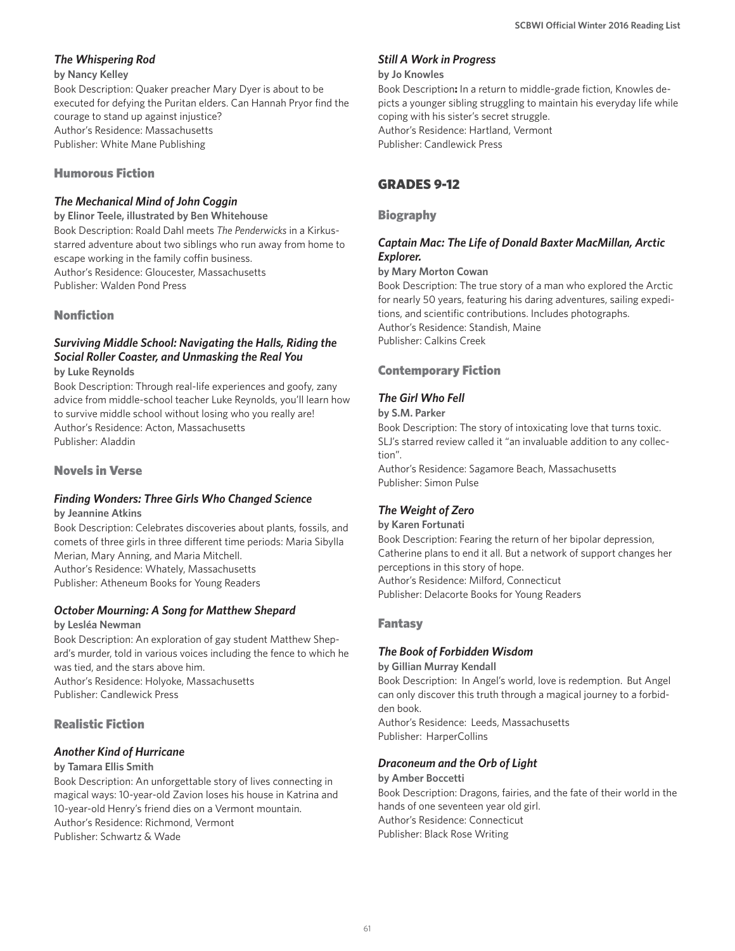### *The Whispering Rod*

#### **by Nancy Kelley**

Book Description: Quaker preacher Mary Dyer is about to be executed for defying the Puritan elders. Can Hannah Pryor find the courage to stand up against injustice? Author's Residence: Massachusetts Publisher: White Mane Publishing

#### Humorous Fiction

#### *The Mechanical Mind of John Coggin*

**by Elinor Teele, illustrated by Ben Whitehouse** Book Description: Roald Dahl meets *The Penderwicks* in a Kirkusstarred adventure about two siblings who run away from home to escape working in the family coffin business. Author's Residence: Gloucester, Massachusetts

Publisher: Walden Pond Press

#### Nonfiction

#### *Surviving Middle School: Navigating the Halls, Riding the Social Roller Coaster, and Unmasking the Real You* **by Luke Reynolds**

Book Description: Through real-life experiences and goofy, zany advice from middle-school teacher Luke Reynolds, you'll learn how to survive middle school without losing who you really are! Author's Residence: Acton, Massachusetts Publisher: Aladdin

#### Novels in Verse

## *Finding Wonders: Three Girls Who Changed Science*

**by Jeannine Atkins**

Book Description: Celebrates discoveries about plants, fossils, and comets of three girls in three different time periods: Maria Sibylla Merian, Mary Anning, and Maria Mitchell. Author's Residence: Whately, Massachusetts Publisher: Atheneum Books for Young Readers

#### *October Mourning: A Song for Matthew Shepard*

#### **by Lesléa Newman**

Book Description: An exploration of gay student Matthew Shepard's murder, told in various voices including the fence to which he was tied, and the stars above him. Author's Residence: Holyoke, Massachusetts Publisher: Candlewick Press

### Realistic Fiction

#### *Another Kind of Hurricane*

#### **by Tamara Ellis Smith**

Book Description: An unforgettable story of lives connecting in magical ways: 10-year-old Zavion loses his house in Katrina and 10-year-old Henry's friend dies on a Vermont mountain. Author's Residence: Richmond, Vermont Publisher: Schwartz & Wade

#### *Still A Work in Progress*

#### **by Jo Knowles**

Book Description**:** In a return to middle-grade fiction, Knowles depicts a younger sibling struggling to maintain his everyday life while coping with his sister's secret struggle. Author's Residence: Hartland, Vermont Publisher: Candlewick Press

## GRADES 9-12

#### Biography

#### *Captain Mac: The Life of Donald Baxter MacMillan, Arctic Explorer.*

#### **by Mary Morton Cowan**

Book Description: The true story of a man who explored the Arctic for nearly 50 years, featuring his daring adventures, sailing expeditions, and scientific contributions. Includes photographs. Author's Residence: Standish, Maine Publisher: Calkins Creek

#### Contemporary Fiction

#### *The Girl Who Fell*

**by S.M. Parker**

Book Description: The story of intoxicating love that turns toxic. SLJ's starred review called it "an invaluable addition to any collection".

Author's Residence: Sagamore Beach, Massachusetts Publisher: Simon Pulse

### *The Weight of Zero*

**by Karen Fortunati** Book Description: Fearing the return of her bipolar depression, Catherine plans to end it all. But a network of support changes her perceptions in this story of hope. Author's Residence: Milford, Connecticut Publisher: Delacorte Books for Young Readers

#### Fantasy

#### *The Book of Forbidden Wisdom*

**by Gillian Murray Kendall** Book Description: In Angel's world, love is redemption. But Angel can only discover this truth through a magical journey to a forbidden book. Author's Residence: Leeds, Massachusetts Publisher: HarperCollins

#### *Draconeum and the Orb of Light*

#### **by Amber Boccetti** Book Description: Dragons, fairies, and the fate of their world in the hands of one seventeen year old girl. Author's Residence: Connecticut Publisher: Black Rose Writing